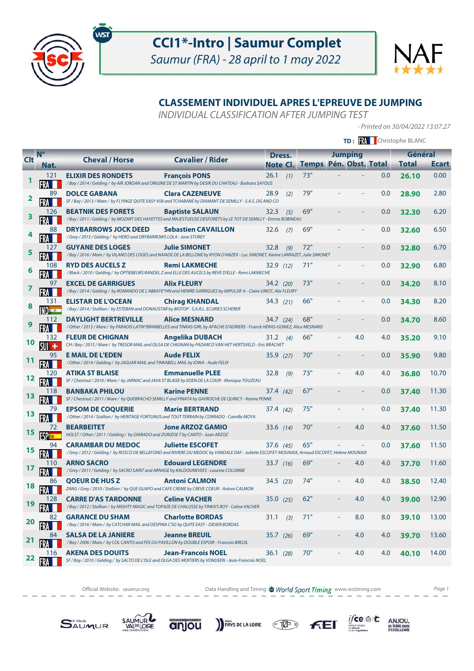



## **CLASSEMENT INDIVIDUEL APRES L'EPREUVE DE JUMPING**

INDIVIDUAL CLASSIFICATION AFTER JUMPING TEST

- Printed on 30/04/2022 13:07:27

|            |                    |                                                                                                                         |                                                                                                                                                                    |           |     | TD: <b>W</b> Christophe BLANC   |  |                |     |              |              |
|------------|--------------------|-------------------------------------------------------------------------------------------------------------------------|--------------------------------------------------------------------------------------------------------------------------------------------------------------------|-----------|-----|---------------------------------|--|----------------|-----|--------------|--------------|
| <b>Clt</b> | $N^{\circ}$        | <b>Cheval / Horse</b>                                                                                                   | <b>Cavalier / Rider</b>                                                                                                                                            | Dress.    |     |                                 |  | <b>Jumping</b> |     | Général      |              |
|            | Nat.               |                                                                                                                         |                                                                                                                                                                    |           |     | Note Cl. Temps Pén. Obst. Total |  |                |     | <b>Total</b> | <b>Ecart</b> |
|            | 121                | <b>ELIXIR DES RONDETS</b>                                                                                               | <b>François PONS</b><br>/ Bay / 2014 / Gelding / by AIR JORDAN and ORIGINE DE ST MARTIN by DESIR DU CHATEAU - Barbara SAYOUS                                       | 26.1      | (1) | 73"                             |  |                | 0.0 | 26.10        | 0.00         |
| 2          | 89                 | <b>DOLCE GABANA</b>                                                                                                     | <b>Clara CAZENEUVE</b><br>SF / Bay / 2013 / Mare / by FLYINGE QUITE EASY 958 and TCHABANE by DIAMANT DE SEMILLY - S.A.S. DG AND CO                                 | 28.9      | (2) | 79"                             |  |                | 0.0 | 28.90        | 2.80         |
| 3          | 126                | <b>BEATNIK DES FORETS</b>                                                                                               | <b>Baptiste SALAUN</b><br>/ Bay / 2011 / Gelding / by MOZART DES HAYETTES and MAJESTUEUSE DESFORETS by LE TOT DE SEMILLY - Emma BOBINEAU                           | 32.3      | (5) | 69"                             |  |                | 0.0 | 32.30        | 6.20         |
|            | 88                 | <b>DRYBARROWS JOCK DEED</b><br>/ Grey / 2015 / Gelding / by HERO and DRYBARROWS LOLA - Jane STOREY                      | <b>Sebastien CAVAILLON</b>                                                                                                                                         | 32.6      | (7) | 69"                             |  |                | 0.0 | 32.60        | 6.50         |
| 5          | 127                | <b>GUYANE DES LOGES</b>                                                                                                 | <b>Julie SIMONET</b><br>/ Bay / 2016 / Mare / by VILANO DES LOGES and NAIADE DE LA BELLONE by RYON D'ANZEX - Luc SIMONET, Karine LARRAZET, Julie SIMONET           | 32.8      | (9) | 72"                             |  |                | 0.0 | 32.80        | 6.70         |
| Q          | 108                | <b>RYD DES AUCELS Z</b>                                                                                                 | <b>Remi LAKMECHE</b><br>/ Black / 2010 / Gelding / by OPTIEBEURS RANDEL Z and ELLE DES AUCELS by REVE D'ELLE - Remi LAKMECHE                                       | 32.9 (12) |     | 71"                             |  |                | 0.0 | 32.90        | 6.80         |
| 7          | 97                 | <b>EXCEL DE GARRIGUES</b>                                                                                               | <b>Alix FLEURY</b><br>/ Bay / 2014 / Gelding / by ROMANDO DE L'ABBAYE*HN and HENIRE GARRIGUES by IMPULSIF A - Claire URIOT, Alix FLEURY                            | 34.2 (20) |     | 73"                             |  |                | 0.0 | 34.20        | 8.10         |
| 8          | 131                | <b>ELISTAR DE L'OCEAN</b><br>/ Bay / 2014 / Stallion / by ESTEBAN and DONAUSTAR by BIOTOP - S.A.R.L. ECURIES SCHERER    | <b>Chirag KHANDAL</b>                                                                                                                                              | 34.3 (21) |     | 66"                             |  |                | 0.0 | 34.30        | 8.20         |
| 9          | 112                | <b>DAYLIGHT BERTREVILLE</b>                                                                                             | <b>Alice MESNARD</b><br>/ Other / 2013 / Mare / by PARADIS LATIN*BRIMBELLES and TINKAS GIRL by APACHE D'ADRIERS - Franck HERAS-GOMEZ, Alice MESNARD                | 34.7 (24) |     | 68"                             |  |                | 0.0 | 34.70        | 8.60         |
| 10         | 132                | <b>FLEUR DE CHIGNAN</b>                                                                                                 | <b>Angelika DUBACH</b><br>CH / Bay / 2015 / Mare / by TRESOR MAIL and OLGA DE CHIGNAN by PADARCO VAN HET HERTSVELD - Eric BRACHET                                  | 31.2 (4)  |     | 66"                             |  | 4.0            | 4.0 | 35.20        | 9.10         |
| 11         | 95                 | <b>E MAIL DE L'EDEN</b><br>/ Other / 2014 / Gelding / by JAGUAR MAIL and TINKABELL MAIL by IOWA - Aude FELIX            | <b>Aude FELIX</b>                                                                                                                                                  | 35.9 (27) |     | 70"                             |  |                | 0.0 | 35.90        | 9.80         |
| 12         | 120                | <b>ATIKA ST BLAISE</b>                                                                                                  | <b>Emmanuelle PLEE</b><br>SF / Chestnut / 2010 / Mare / by JARNAC and JAVA ST BLAISE by EDEN DE LA COUR - Monique TOUZEAU                                          | 32.8      | (9) | 73"                             |  | 4.0            | 4.0 | 36.80        | 10.70        |
| 13         |                    | <b>BANBAKA PHILOU</b>                                                                                                   | <b>Karine PENNE</b><br>SF / Chestnut / 2011 / Mare / by QUEBRACHO SEMILLY and PINATA by GAVROCHE DE QUINCY - Karine PENNE                                          | 37.4 (42) |     | 67"                             |  |                | 0.0 | 37.40        | 11.30        |
| 13         |                    | <b>EPSOM DE COQUERIE</b>                                                                                                | <b>Marie BERTRAND</b><br>/ Other / 2014 / Stallion / by HERITAGE FORTUNUS and TOUT TERRAIN by CORRADO - Camille MOYA                                               | 37.4 (42) |     | 75"                             |  |                | 0.0 | 37.40        | 11.30        |
| 15         |                    | <b>BEARBEITET</b><br>HOLST / Other / 2011 / Gelding / by DIARADO and ZURIZOE T by CANTO - Juan ARZOZ                    | <b>Jone ARZOZ GAMIO</b>                                                                                                                                            | 33.6 (14) |     | 70"                             |  | 4.0            | 4.0 | 37.60        | 11.50        |
| 15         | 94                 | <b>CARAMBAR DU MEDOC</b>                                                                                                | <b>Juliette ESCOFET</b><br>/Grey/2012/Gelding/by ROSCO DE BELLEFOND and RIVIERE DU MEDOC by VANDALE DAF - Juliette ESCOFET-MOUNAIX, Arnaud ESCOFET, Helene MOUNAIX | 37.6 (45) |     | 65"                             |  |                | 0.0 | 37.60        | 11.50        |
| 17         | 110                | <b>ARNO SACRO</b><br>/Grey / 2011 / Gelding / by SACRO SAINT and ARNAGE by KALDOUNEVEES - Laurine COLOMBE               | <b>Edouard LEGENDRE</b>                                                                                                                                            | 33.7(16)  |     | 69"                             |  | 4.0            | 4.0 | 37.70        | 11.60        |
| 18         | 86<br>$\mathbf{m}$ | <b>OOEUR DE HUS Z</b>                                                                                                   | <b>Antoni CALMON</b><br>ZANG / Grey / 2010 / Stallion / by QUE GUAPO and CAFE CREME by CREVE COEUR - Antoni CALMON                                                 | 34.5(23)  |     | 74"                             |  | 4.0            | 4.0 | 38.50        | 12.40        |
| 19         | 128                | <b>CARRE D'AS TARDONNE</b>                                                                                              | <b>Celine VACHER</b><br>/ Bay / 2012 / Stallion / by MIGHTY MAGIC and TOPAZE DE CHALUSSE by TINKA'S BOY - Celine VACHER                                            | 35.0(25)  |     | 62"                             |  | 4.0            | 4.0 | 39.00        | 12.90        |
| 20         | 82                 | <b>GARANCE DU SHAM</b><br>/ Bay / 2016 / Mare / by CATCHAR MAIL and DESPINA C'SG by QUITE EASY - DIDIER BORDAS          | <b>Charlotte BORDAS</b>                                                                                                                                            | 31.1      | (3) | 71"                             |  | 8.0            | 8.0 | 39.10        | 13.00        |
| 21         | 84                 | <b>SALSA DE LA JANIERE</b><br>/ Bay / 2006 / Mare / by COL CANTO and FEE DU PAVILLON by DOUBLE ESPOIR - Francois BREUIL | <b>Jeanne BREUIL</b>                                                                                                                                               | 35.7 (26) |     | 69"                             |  | 4.0            | 4.0 | 39.70        | 13.60        |
| 22         | 116                | <b>AKENA DES DOUITS</b>                                                                                                 | <b>Jean-Francois NOEL</b><br>SF / Bay / 2010 / Gelding / by SALTO DE L'ISLE and OLGA DES MOITIERS by VONDEEN - Jean-Francois NOEL                                  | 36.1(28)  |     | 70"                             |  | 4.0            | 4.0 | 40.10        | 14.00        |

Official Website: saumur.org **Data Handling and Timing : World Sport Timing** www.wstiming.com Page 1

PAYS DE LA LOIRE TEP

 $\underset{\underbrace{\text{G.}\underbrace{\text{G.}\underbrace{\text{G.}\underbrace{\text{G.}\underbrace{\text{G.}\underbrace{\text{G.}\underbrace{\text{G.}\underbrace{\text{G.}\underbrace{\text{G.}\underbrace{\text{G.}\underbrace{\text{G.}\underbrace{\text{G.}\underbrace{\text{G.}\underbrace{\text{G.}\underbrace{\text{G.}\underbrace{\text{G.}\underbrace{\text{G.}\underbrace{\text{G.}\underbrace{\text{G.}\underbrace{\text{G.}\underbrace{\text{G.}\underbrace{\text{G.}\underbrace{\text{G.}\underbrace{\text{G.}\underbrace{\text{G.}\underbrace{\text{G.}\underbrace{\text{G.}\$ 

**FEI** 



SAUMUR

anjou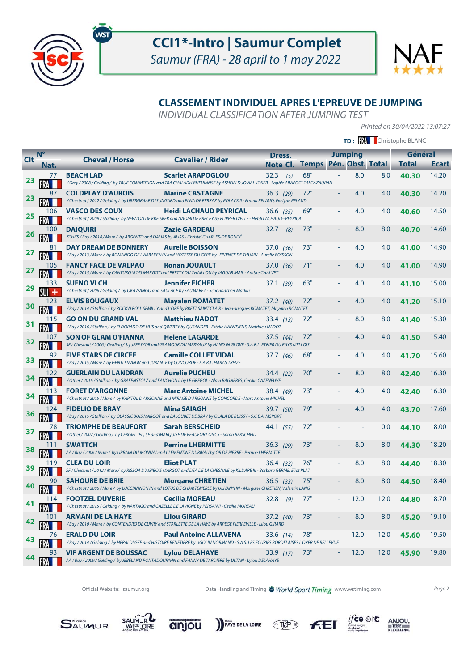



## **CLASSEMENT INDIVIDUEL APRES L'EPREUVE DE JUMPING**

INDIVIDUAL CLASSIFICATION AFTER JUMPING TEST

- Printed on 30/04/2022 13:07:27

 $\underset{\underbrace{\text{``c,b}}_{\text{cr,b}} \text{of the two cases}}{\text{if } \text{c,b}} \quad \underset{\underbrace{\text{FERRE}}_{\text{CFXCLLENCE}}}{{\text{DEXCLLENCE}}}$ 

**FEI** 

|            |             |                                                                                                                                                   | <b>TD: RA</b> Christophe BLANC                                                                                                                                      |                   |                                 |  |                |      |              |              |
|------------|-------------|---------------------------------------------------------------------------------------------------------------------------------------------------|---------------------------------------------------------------------------------------------------------------------------------------------------------------------|-------------------|---------------------------------|--|----------------|------|--------------|--------------|
|            | $N^{\circ}$ |                                                                                                                                                   |                                                                                                                                                                     | Dress.            |                                 |  | <b>Jumping</b> |      | Général      |              |
| <b>Clt</b> | Nat.        | <b>Cheval / Horse</b>                                                                                                                             | <b>Cavalier / Rider</b>                                                                                                                                             |                   | Note Cl. Temps Pén. Obst. Total |  |                |      | <b>Total</b> | <b>Ecart</b> |
| 23         | 77          | <b>BEACH LAD</b>                                                                                                                                  | <b>Scarlet ARAPOGLOU</b><br>/ Grey / 2008 / Gelding / by TRUE COMMOTION and TRA CHALADH BHFUINNSE by ASHFIELD JOVIAL JOKER - Sophie ARAPOGLOU CAZAURAN              | 32.3<br>(5)       | 68"                             |  | 8.0            | 8.0  | 40.30        | 14.20        |
| 23         | 87          | <b>COLDPLAY D'AUROIS</b>                                                                                                                          | <b>Marine CASTAGNE</b><br>/ Chestnut / 2012 / Gelding / by UBERGRAAF D*SUNGARD and ELNA DE PERRAZ by POLACK II - Emma PELAUD, Evelyne PELAUD                        | 36.3(29)          | 72"                             |  | 4.0            | 4.0  | 40.30        | 14.20        |
| 25         | 106         | <b>VASCO DES COUX</b>                                                                                                                             | <b>Heidi LACHAUD PEYRICAL</b><br>/ Chestnut / 2009 / Stallion / by NEWTON DE KREISKER and NAOMI DE BRECEY by FLIPPER D'ELLE - Hetdi LACHAUD--PEYRICAL               | 36.6(35)          | 69"                             |  | 4.0            | 4.0  | 40.60        | 14.50        |
| <b>26</b>  | 100         | <b>DAIQUIRI</b><br>ZCHKS / Bay / 2014 / Mare / by ARGENTO and DALIAS by ALIAS - Christel CHARLES-DE RONGÉ                                         | <b>Zazie GARDEAU</b>                                                                                                                                                | $32.7$ (8)        | 73"                             |  | 8.0            | 8.0  | 40.70        | 14.60        |
| 27         | 81          | <b>DAY DREAM DE BONNERY</b>                                                                                                                       | <b>Aurelie BOISSON</b><br>/ Bay / 2013 / Mare / by ROMANDO DE L'ABBAYE*HN and HOTESSE DU GERY by LEPRINCE DE THURIN - Aurelie BOISSON                               | 37.0(36)          | 73"                             |  | 4.0            | 4.0  | 41.00        | 14.90        |
| <u>27</u>  | 105         | <b>FANCY FACE DE VALPAO</b>                                                                                                                       | <b>Ronan JOUAULT</b><br>/ Bay / 2015 / Mare / by CANTURO*BOIS MARGOT and PRETTY DU CHAILLOU by JAGUAR MAIL - Ambre CHALVET                                          | 37.0(36)          | 71"                             |  | 4.0            | 4.0  | 41.00        | 14.90        |
| 29         | 133<br>SUI  | <b>SUENO VI CH</b><br>/ Chestnut / 2006 / Gelding / by OKAWANGO and SAULACE by SAUMAREZ - Schönbächler Markus                                     | <b>Jennifer EICHER</b>                                                                                                                                              | 37.1 (39)         | 63"                             |  | 4.0            | 4.0  | 41.10        | 15.00        |
| 30         | 123         | <b>ELVIS BOUGAUX</b>                                                                                                                              | <b>Mayalen ROMATET</b><br>/ Bay / 2014 / Stallion / by ROCK'N ROLL SEMILLY and L'ORE by BRETT SAINT CLAIR - Jean-Jacques ROMATET, Mayalen ROMATET                   | $37.2 \quad (40)$ | 72"                             |  | 4.0            | 4.0  | 41.20        | 15.10        |
| 31         |             | <b>GO ON DU GRAND VAL</b>                                                                                                                         | <b>Matthieu NADOT</b><br>/ Bay / 2016 / Stallion / by ELDORADO DE HUS and QWERTY by QUSANDER - Estelle HAENTJENS, Matthieu NADOT                                    | 33.4(13)          | 72"                             |  | 8.0            | 8.0  | 41.40        | 15.30        |
| 32         |             | <b>SON OF GLAM O'FIANNA</b>                                                                                                                       | <b>Helene LAGARDE</b><br>SF / Chestnut / 2006 / Gelding / by JEFF D'OR and GLAMOUR DU MERVAUX by HAND IN GLOVE - S.A.R.L. ETRIER DU PAYS MELLOIS                    | 37.5(44)          | 72"                             |  | 4.0            | 4.0  | 41.50        | 15.40        |
| 33         | 92          | <b>FIVE STARS DE CIRCEE</b><br>/Bay / 2015 / Mare / by GENTLEMAN IV and JURANTE by CONCORDE - E.A.R.L. HARAS TREIZE                               | <b>Camille COLLET VIDAL</b>                                                                                                                                         | 37.7 (46)         | 68"                             |  | 4.0            | 4.0  | 41.70        | 15.60        |
| 34         | 122         | <b>GUERLAIN DU LANDRAN</b>                                                                                                                        | <b>Aurelie PUCHEU</b><br>/ Other / 2016 / Stallion / by GRAFENSTOLZ and FANCHON II by LE GREGOL - Alain BAGNERES, Cecilia CAZENEUVE                                 | 34.4 (22)         | 70"                             |  | 8.0            | 8.0  | 42.40        | 16.30        |
| 34         | 113         | <b>FORET D'ARGONNE</b>                                                                                                                            | <b>Marc Antoine MICHEL</b><br>/ Chestnut / 2015 / Mare / by KAPITOL D'ARGONNE and MIRAGE D'ARGONNE by CONCORDE - Marc Antoine MICHEL                                | 38.4 (49)         | 73"                             |  | 4.0            | 4.0  | 42.40        | 16.30        |
| 36         |             | <b>FIDELIO DE BRAY</b>                                                                                                                            | <b>Mina SAIAGH</b><br>/ Bay / 2015 / Stallion / by QLASSIC BOIS MARGOT and BALOUBEE DE BRAY by OLALA DE BUISSY - S.C.E.A. MSPORT                                    | 39.7 (50)         | 79"                             |  | 4.0            | 4.0  | 43.70        | 17.60        |
| 37         | 78<br>FRA   | <b>TRIOMPHE DE BEAUFORT</b>                                                                                                                       | <b>Sarah BERSCHEID</b><br>/ Other / 2007 / Gelding / by CERGIEL (PL) SE and MARQUISE DE BEAUFORT ONCS - Sarah BERSCHEID                                             | 44.1 (55)         | 72"                             |  |                | 0.0  | 44.10        | 18.00        |
| 38         |             | <b>SWATTCH</b><br>AA / Bay / 2006 / Mare / by URBAIN DU MONNAI and CLEMENTINE DURIVAU by OR DE PIERRE - Perrine LHERMITTE                         | <b>Perrine LHERMITTE</b>                                                                                                                                            | 36.3(29)          | 73"                             |  | 8.0            | 8.0  | 44.30        | 18.20        |
| 39         |             | <b>CLEA DU LOIR</b><br>SF / Chestnut / 2012 / Mare / by RISSOA D'AG*BOIS MARGOT and DEA DE LA CHESNAIE by KILDARE III - Barbara GERME, Eliot PLAT | <b>Eliot PLAT</b>                                                                                                                                                   | 36.4 (32)         | 76"                             |  | 8.0            | 8.0  | 44.40        | 18.30        |
| 40         |             | <b>SAHOURE DE BRIE</b>                                                                                                                            | <b>Morgane CHRETIEN</b><br>/ Chestnut / 2006 / Mare / by LUCCIANNO*HN and LOTUS DE CHAMTEMERLE by ULHAN*HN - Morgane CHRETIEN, Valentin LANG                        | 36.5(33)          | 75"                             |  | 8.0            | 8.0  | 44.50        | 18.40        |
| 41         | 114         | <b>FOOTZEL DUVERIE</b>                                                                                                                            | <b>Cecilia MOREAU</b><br>/ Chestnut / 2015 / Gelding / by NARTAGO and GAZELLE DE LAVIGNE by PERSAN II - Cecilia MOREAU                                              | $32.8$ (9)        | 77"                             |  | 12.0           | 12.0 | 44.80        | 18.70        |
| 42         | 101         | ARMANI DE LA HAYE                                                                                                                                 | <b>Lilou GIRARD</b><br>/ Bay / 2010 / Mare / by CONTENDRO DE CUVRY and STARLETTE DE LA HAYE by ARPEGE PIERREVILLE - Lilou GIRARD                                    | 37.2 (40)         | 73"                             |  | 8.0            | 8.0  | 45.20        | 19.10        |
| 43         | 76          | <b>ERALD DU LOIR</b>                                                                                                                              | <b>Paul Antoine ALLAVENA</b><br>/ Bay / 2014 / Gelding / by HERALD*GFE and HISTOIRE BENETIERE by UGOLIN NORMAND - S.A.S. LES ECURIES BORDELAISES L'OXER DE BELLEVUE | 33.6 $(14)$       | 78"                             |  | 12.0           | 12.0 | 45.60        | 19.50        |
|            | 93          | <b>VIF ARGENT DE BOUSSAC</b><br>AA / Bay / 2009 / Gelding / by JEBELAND PONTADOUR*HN and FANNY DE TARDIERE by ULTAN - Lylou DELAHAYE              | Lylou DELAHAYE                                                                                                                                                      | 33.9 (17)         | 73"                             |  | 12.0           | 12.0 | 45.90        | 19.80        |

Official Website: saumur.org **Data Handling and Timing : World Sport Timing** www.wstiming.com Page 2

PAYS DE LA LOIRE TEP

**SAUMUR** 

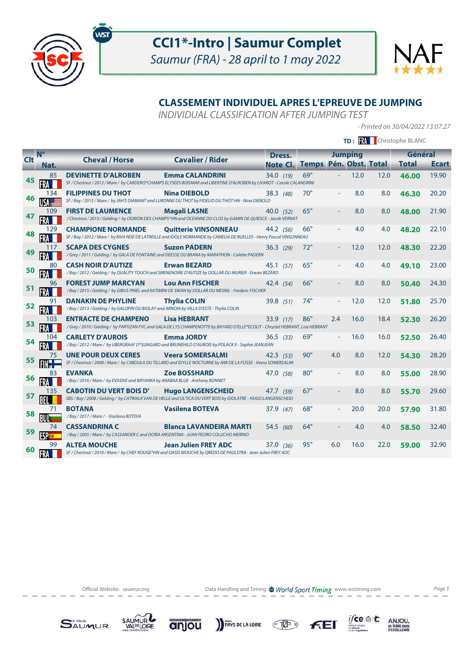



## **CLASSEMENT INDIVIDUEL APRES L'EPREUVE DE JUMPING**

INDIVIDUAL CLASSIFICATION AFTER JUMPING TEST

- Printed on 30/04/2022 13:07:27

|            |                     |                                                                                                                      |                                                                                                                                                       |             | TD: <b>RA</b> Christophe BLANC |     |                                    |      |                         |              |
|------------|---------------------|----------------------------------------------------------------------------------------------------------------------|-------------------------------------------------------------------------------------------------------------------------------------------------------|-------------|--------------------------------|-----|------------------------------------|------|-------------------------|--------------|
| <b>Clt</b> | $N^{\circ}$<br>Nat. | <b>Cheval / Horse</b>                                                                                                | <b>Cavalier / Rider</b>                                                                                                                               | Dress.      | Note Cl. Temps                 |     | <b>Jumping</b><br>Pén. Obst. Total |      | Général<br><b>Total</b> | <b>Ecart</b> |
| 45         | 85                  | <b>DEVINETTE D'ALROBEN</b>                                                                                           | <b>Emma CALANDRINI</b><br>SF / Chestnut / 2013 / Mare / by CARDERO*CHAMPS ELYSEES BOISMAR and LIBERTINE D'ALROBEN by LIVAROT - Carole CALANDRINI      | 34.0(19)    | 69"                            |     | 12.0                               | 12.0 | 46.00                   | 19.90        |
| 46         | 134                 | <b>FILIPPINES DU THOT</b>                                                                                            | <b>Nina DIEBOLD</b><br>SF / Bay / 2015 / Mare / by JAH'S DIAMANT and LURONNE DU THOT by FIDELIO DU THOT HN - Nina DIEBOLD                             | 38.3(48)    | 70"                            |     | 8.0                                | 8.0  | 46.30                   | 20.20        |
| 47         | 109                 | <b>FIRST DE LAUMENCE</b>                                                                                             | <b>Magali LASNE</b><br>/ Chestnut / 2015 / Gelding / by OGRION DES CHAMPS*HN and OCEANNE DU CLOS by GAMIN DE QUIESCE - Jacob VERNAT                   | 40.0 $(52)$ | 65"                            |     | 8.0                                | 8.0  | 48.00                   | 21.90        |
| 48         | 129                 | <b>CHAMPIONE NORMANDE</b>                                                                                            | <b>Quitterie VINSONNEAU</b><br>SF / Bay / 2012 / Mare / by RIVA NOE DE LATREILLE and IDOLE NORMANDE by CAMELIA DE RUELLES - Henry Pascal VINSONNEAU   | 44.2 (56)   | 66"                            |     | 4.0                                | 4.0  | 48.20                   | 22.10        |
| 49         |                     | <b>SCAPA DES CYGNES</b>                                                                                              | <b>Suzon PADERN</b><br>/ Grey / 2011 / Gelding / by GALA DE FONTAINE and DEESSE DU BRANA by MARATHON - Colette PADERN                                 | 36.3(29)    | 72"                            |     | 12.0                               | 12.0 | 48.30                   | 22.20        |
| 50         |                     | <b>CASH NOIR D'AUTIZE</b>                                                                                            | <b>Erwan BEZARD</b><br>/ Bay / 2012 / Gelding / by QUALITY TOUCH and SIRENENOIRE D'AUTIZE by DOLLAR DU MURIER - Erwan BEZARD                          | 45.1(57)    | 65"                            |     | 4.0                                | 4.0  | 49.10                   | 23.00        |
| 51         | 96                  | <b>FOREST JUMP MARCYAN</b>                                                                                           | <b>Lou Ann FISCHER</b><br>/ Bay / 2015 / Gelding / by GIBUS PINEL and KATIMINI DE SWAN by DOLLAR DU MESNIL - Frederic FISCHER                         | 42.4 (54)   | 66"                            |     | 8.0                                | 8.0  | 50.40                   | 24.30        |
| 52         | 91                  | <b>DANAKIN DE PHYLINE</b><br>/ Bay / 2013 / Gelding / by GALOPIN DU BIOLAY and ARNOIA by VILLA D'ESTE - Thylia COLIN | <b>Thylia COLIN</b>                                                                                                                                   | 39.8 (51)   | 74"                            |     | 12.0                               | 12.0 | 51.80                   | 25.70        |
| 53         | 103                 | <b>ENTRACTE DE CHAMPENO</b>                                                                                          | <b>Lisa HEBRANT</b><br>/ Grey / 2010 / Gelding / by PARTIZAN FVC and GALA DE LYS CHAMPENOTTE by BAYARD D'ELLE*ECOLIT - Chrystel HEBRANT, Lisa HEBRANT | 33.9 (17)   | 86"                            | 2.4 | 16.0                               | 18.4 | 52.30                   | 26.20        |
| 54         | 104                 | <b>CARLETY D'AUROIS</b>                                                                                              | <b>Emma JORDY</b><br>/ Bay / 2012 / Mare / by UBERGRAAF D*SUNGARD and BRUNEHILD D'AUROIS by POLACK II - Sophie JEANJEAN                               | 36.5(33)    | 69"                            |     | 16.0                               | 16.0 | 52.50                   | 26.40        |
| 55         | 75                  | <b>UNE POUR DEUX CERES</b>                                                                                           | <b>Veera SOMERSALMI</b><br>SF / Chestnut / 2008 / Mare / by CABDULA DU TILLARD and IDYLLE NOCTURNE by AMI DE LA FOSSE - Veera SOMERSALMI              | $42.3$ (53) | 90"                            | 4.0 | 8.0                                | 12.0 | 54.30                   | 28.20        |
| 56         | 83                  | <b>EVANKA</b><br>/ Bay / 2016 / Mare / by EVASIVE and BRYANKA by ANABAA BLUE - Anthony BONNET                        | <b>Zoe BOSSHARD</b>                                                                                                                                   | 47.0 (58)   | 80"                            |     | 8.0                                | 8.0  | 55.00                   | 28.90        |
| 57         | 135                 | <b>CABOTIN DU VERT BOIS D'</b>                                                                                       | <b>Hugo LANGENSCHEID</b><br>SBS / Bay / 2008 / Gelding / by CATWALK VAN DE HELLE and ULTICA DU VERT BOIS by IDOLATRE - HUGO LANGENSCHEID              | 47.7 (59)   | 67"                            |     | 8.0                                | 8.0  | 55.70                   | 29.60        |
| 58         |                     | <b>BOTANA</b><br>/Bay/2017/Mare/ - Vasilena BOTEVA                                                                   | <b>Vasilena BOTEVA</b>                                                                                                                                | 37.9(47)    | 68"                            |     | 20.0                               | 20.0 | 57.90                   | 31.80        |
| 59         |                     | <b>CASSANDRINA C</b><br>/ Bay / 2005 / Mare / by CASSANDER C and DOÑA ARGENTINA - JUAN PEDRO COLUCHO MERINO          | <b>Blanca LAVANDEIRA MARTI</b>                                                                                                                        | 54.5 (60)   | 64"                            |     | 4.0                                | 4.0  | 58.50                   | 32.40        |
| 60         |                     | <b>ALTEA MOUCHE</b>                                                                                                  | <b>Jean Julien FREY ADC</b><br>SF / Chestnut / 2010 / Mare / by CHEF ROUGE*HN and OASIS MOUCHE by QREDO DE PAULSTRA - Jean Julien FREY ADC            | 37.0 (36)   | 95"                            | 6.0 | 16.0                               | 22.0 | 59.00                   | 32.90        |

Official Website: saumur.org **Data Handling and Timing : World Sport Timing** www.wstiming.com Page 3

 $\underset{\underbrace{\text{G.}\underbrace{\text{G.}\underbrace{\text{G.}\underbrace{\text{G.}\underbrace{\text{G.}\underbrace{\text{G.}\underbrace{\text{G.}\underbrace{\text{G.}\underbrace{\text{G.}\underbrace{\text{G.}\underbrace{\text{G.}\underbrace{\text{G.}\underbrace{\text{G.}\underbrace{\text{G.}\underbrace{\text{G.}\underbrace{\text{G.}\underbrace{\text{G.}\underbrace{\text{G.}\underbrace{\text{G.}\underbrace{\text{G.}\underbrace{\text{G.}\underbrace{\text{G.}\underbrace{\text{G.}\underbrace{\text{G.}\underbrace{\text{G.}\underbrace{\text{G.}\underbrace{\text{G.}\$ 





anjou